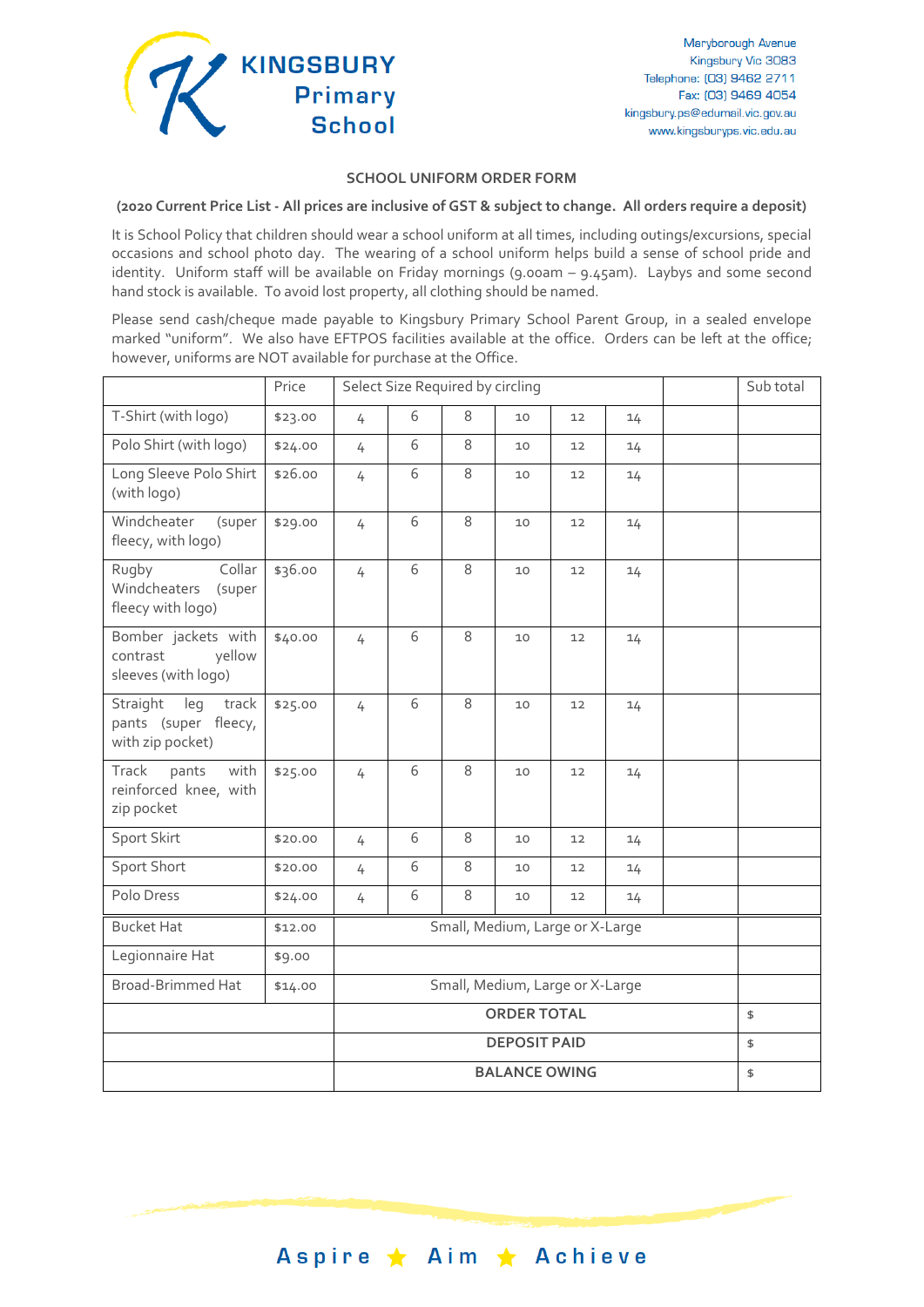

## **SCHOOL UNIFORM ORDER FORM**

**(2020 Current Price List - All prices are inclusive of GST & subject to change. All orders require a deposit)**

It is School Policy that children should wear a school uniform at all times, including outings/excursions, special occasions and school photo day. The wearing of a school uniform helps build a sense of school pride and identity. Uniform staff will be available on Friday mornings (9.00am – 9.45am). Laybys and some second hand stock is available. To avoid lost property, all clothing should be named.

Please send cash/cheque made payable to Kingsbury Primary School Parent Group, in a sealed envelope marked "uniform". We also have EFTPOS facilities available at the office. Orders can be left at the office; however, uniforms are NOT available for purchase at the Office.

|                                                                                    | Price                | Select Size Required by circling |   |   |    |    |    | Sub total |  |
|------------------------------------------------------------------------------------|----------------------|----------------------------------|---|---|----|----|----|-----------|--|
| T-Shirt (with logo)                                                                | \$23.00              | 4                                | 6 | 8 | 10 | 12 | 14 |           |  |
| Polo Shirt (with logo)                                                             | \$24.00              | 4                                | 6 | 8 | 10 | 12 | 14 |           |  |
| Long Sleeve Polo Shirt<br>(with logo)                                              | \$26.00              | 4                                | 6 | 8 | 10 | 12 | 14 |           |  |
| Windcheater<br>(super<br>fleecy, with logo)                                        | \$29.00              | 4                                | 6 | 8 | 10 | 12 | 14 |           |  |
| $\overline{\text{Collar}}$<br>Rugby<br>Windcheaters<br>(super<br>fleecy with logo) | \$36.00              | 4                                | 6 | 8 | 10 | 12 | 14 |           |  |
| Bomber jackets with<br>yellow<br>contrast<br>sleeves (with logo)                   | \$40.00              | 4                                | 6 | 8 | 10 | 12 | 14 |           |  |
| Straight<br>leg<br>track<br>pants (super fleecy,<br>with zip pocket)               | \$25.00              | 4                                | 6 | 8 | 10 | 12 | 14 |           |  |
| Track<br>pants<br>with<br>reinforced knee, with<br>zip pocket                      | \$25.00              | 4                                | 6 | 8 | 10 | 12 | 14 |           |  |
| Sport Skirt                                                                        | \$20.00              | 4                                | 6 | 8 | 10 | 12 | 14 |           |  |
| Sport Short                                                                        | \$20.00              | 4                                | 6 | 8 | 10 | 12 | 14 |           |  |
| Polo Dress                                                                         | \$24.00              | $\overline{4}$                   | 6 | 8 | 10 | 12 | 14 |           |  |
| <b>Bucket Hat</b>                                                                  | \$12.00              | Small, Medium, Large or X-Large  |   |   |    |    |    |           |  |
| Legionnaire Hat                                                                    | \$9.00               |                                  |   |   |    |    |    |           |  |
| <b>Broad-Brimmed Hat</b>                                                           | \$14.00              | Small, Medium, Large or X-Large  |   |   |    |    |    |           |  |
|                                                                                    |                      | <b>ORDER TOTAL</b>               |   |   |    |    |    | \$        |  |
|                                                                                    |                      | <b>DEPOSIT PAID</b>              |   |   |    |    | \$ |           |  |
|                                                                                    | <b>BALANCE OWING</b> |                                  |   |   |    |    |    | \$        |  |

Aspire ★ Aim ★ Achieve